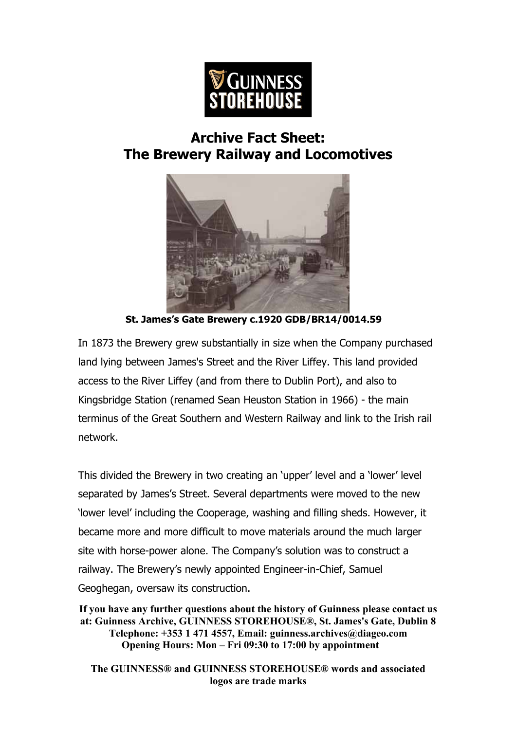

## **Archive Fact Sheet: The Brewery Railway and Locomotives**



 **St. James's Gate Brewery c.1920 GDB/BR14/0014.59**

In 1873 the Brewery grew substantially in size when the Company purchased land lying between James's Street and the River Liffey. This land provided access to the River Liffey (and from there to Dublin Port), and also to Kingsbridge Station (renamed Sean Heuston Station in 1966) - the main terminus of the Great Southern and Western Railway and link to the Irish rail network.

This divided the Brewery in two creating an 'upper' level and a 'lower' level separated by James's Street. Several departments were moved to the new 'lower level' including the Cooperage, washing and filling sheds. However, it became more and more difficult to move materials around the much larger site with horse-power alone. The Company's solution was to construct a railway. The Brewery's newly appointed Engineer-in-Chief, Samuel Geoghegan, oversaw its construction.

**If you have any further questions about the history of Guinness please contact us at: Guinness Archive, GUINNESS STOREHOUSE®, St. James's Gate, Dublin 8 Telephone: +353 1 471 4557, Email: guinness.archives@diageo.com Opening Hours: Mon – Fri 09:30 to 17:00 by appointment**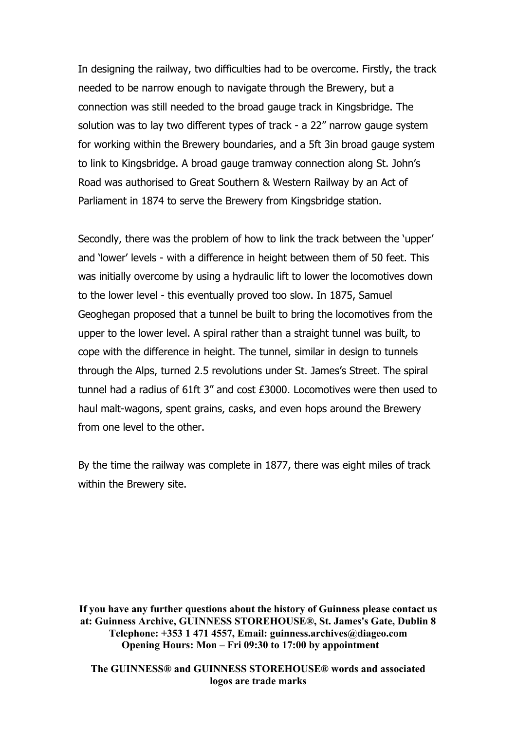In designing the railway, two difficulties had to be overcome. Firstly, the track needed to be narrow enough to navigate through the Brewery, but a connection was still needed to the broad gauge track in Kingsbridge. The solution was to lay two different types of track - a 22" narrow gauge system for working within the Brewery boundaries, and a 5ft 3in broad gauge system to link to Kingsbridge. A broad gauge tramway connection along St. John's Road was authorised to Great Southern & Western Railway by an Act of Parliament in 1874 to serve the Brewery from Kingsbridge station.

Secondly, there was the problem of how to link the track between the 'upper' and 'lower' levels - with a difference in height between them of 50 feet. This was initially overcome by using a hydraulic lift to lower the locomotives down to the lower level - this eventually proved too slow. In 1875, Samuel Geoghegan proposed that a tunnel be built to bring the locomotives from the upper to the lower level. A spiral rather than a straight tunnel was built, to cope with the difference in height. The tunnel, similar in design to tunnels through the Alps, turned 2.5 revolutions under St. James's Street. The spiral tunnel had a radius of 61ft 3" and cost £3000. Locomotives were then used to haul malt-wagons, spent grains, casks, and even hops around the Brewery from one level to the other.

By the time the railway was complete in 1877, there was eight miles of track within the Brewery site.

**If you have any further questions about the history of Guinness please contact us at: Guinness Archive, GUINNESS STOREHOUSE®, St. James's Gate, Dublin 8 Telephone: +353 1 471 4557, Email: guinness.archives@diageo.com Opening Hours: Mon – Fri 09:30 to 17:00 by appointment**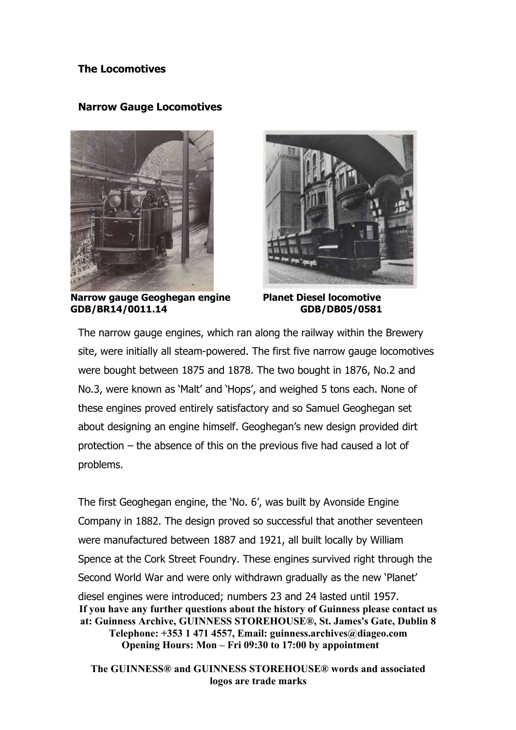## **The Locomotives**

## **Narrow Gauge Locomotives**



**Narrow gauge Geoghegan engine GDB/BR14/0011.14**



**Planet Diesel locomotive GDB/DB05/0581**

The narrow gauge engines, which ran along the railway within the Brewery site, were initially all steam-powered. The first five narrow gauge locomotives were bought between 1875 and 1878. The two bought in 1876, No.2 and No.3, were known as 'Malt' and 'Hops', and weighed 5 tons each. None of these engines proved entirely satisfactory and so Samuel Geoghegan set about designing an engine himself. Geoghegan's new design provided dirt protection – the absence of this on the previous five had caused a lot of problems.

The first Geoghegan engine, the 'No. 6', was built by Avonside Engine Company in 1882. The design proved so successful that another seventeen were manufactured between 1887 and 1921, all built locally by William Spence at the Cork Street Foundry. These engines survived right through the Second World War and were only withdrawn gradually as the new 'Planet' diesel engines were introduced; numbers 23 and 24 lasted until 1957. **If you have any further questions about the history of Guinness please contact us at: Guinness Archive, GUINNESS STOREHOUSE®, St. James's Gate, Dublin 8 Telephone: +353 1 471 4557, Email: guinness.archives@diageo.com Opening Hours: Mon – Fri 09:30 to 17:00 by appointment**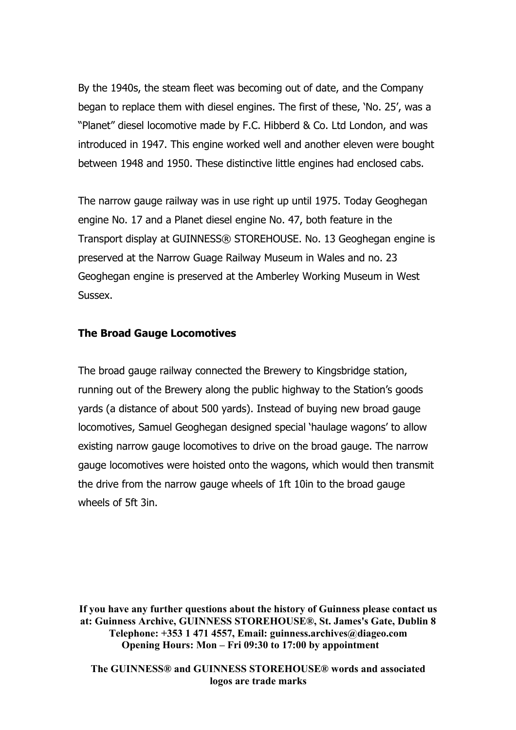By the 1940s, the steam fleet was becoming out of date, and the Company began to replace them with diesel engines. The first of these, 'No. 25', was a "Planet" diesel locomotive made by F.C. Hibberd & Co. Ltd London, and was introduced in 1947. This engine worked well and another eleven were bought between 1948 and 1950. These distinctive little engines had enclosed cabs.

The narrow gauge railway was in use right up until 1975. Today Geoghegan engine No. 17 and a Planet diesel engine No. 47, both feature in the Transport display at GUINNESS® STOREHOUSE. No. 13 Geoghegan engine is preserved at the Narrow Guage Railway Museum in Wales and no. 23 Geoghegan engine is preserved at the Amberley Working Museum in West Sussex.

## **The Broad Gauge Locomotives**

The broad gauge railway connected the Brewery to Kingsbridge station, running out of the Brewery along the public highway to the Station's goods yards (a distance of about 500 yards). Instead of buying new broad gauge locomotives, Samuel Geoghegan designed special 'haulage wagons' to allow existing narrow gauge locomotives to drive on the broad gauge. The narrow gauge locomotives were hoisted onto the wagons, which would then transmit the drive from the narrow gauge wheels of 1ft 10in to the broad gauge wheels of 5ft 3in.

**If you have any further questions about the history of Guinness please contact us at: Guinness Archive, GUINNESS STOREHOUSE®, St. James's Gate, Dublin 8 Telephone: +353 1 471 4557, Email: guinness.archives@diageo.com Opening Hours: Mon – Fri 09:30 to 17:00 by appointment**